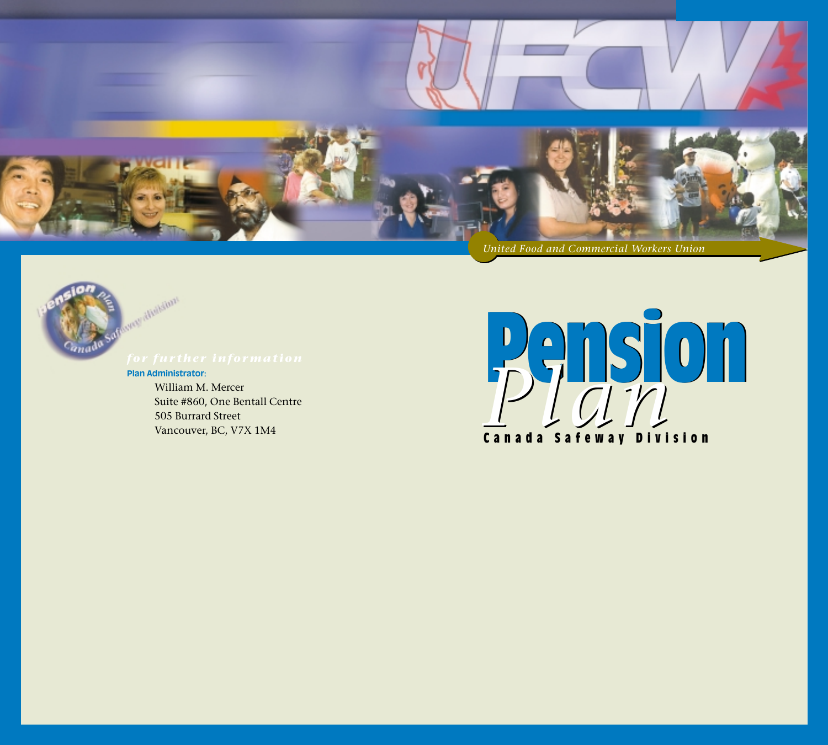



### **Plan Administrator:**

William M. Mercer Suite #860, One Bentall Centre 505 Burrard Street

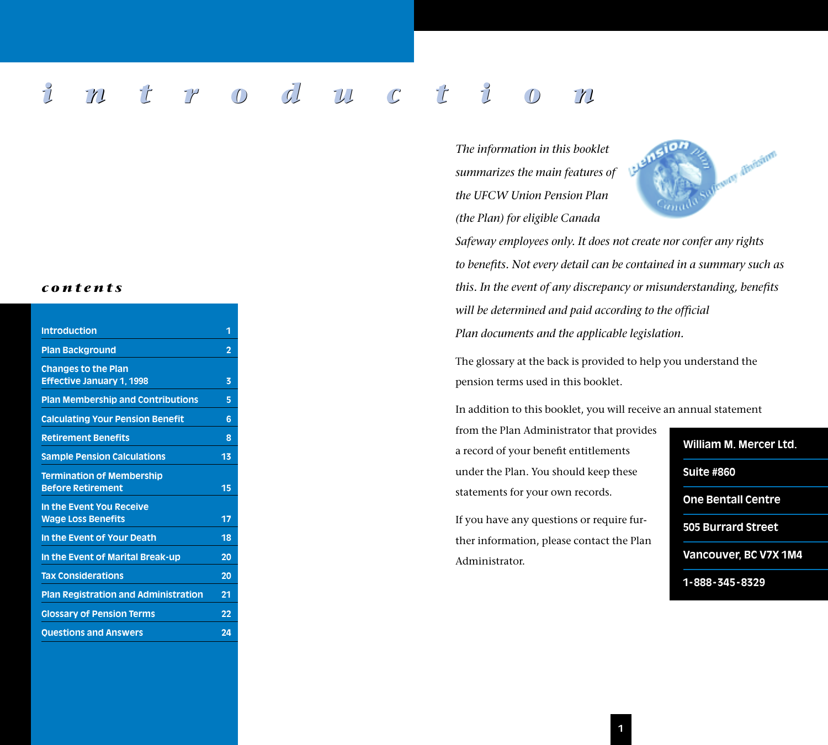#### *tion tion introduc*

### *contents*

| <b>Introduction</b>                         | 1  |
|---------------------------------------------|----|
| <b>Plan Background</b>                      | 2  |
| <b>Changes to the Plan</b>                  |    |
| <b>Effective January 1, 1998</b>            | 3  |
| <b>Plan Membership and Contributions</b>    | 5  |
| <b>Calculating Your Pension Benefit</b>     | 6  |
| <b>Retirement Benefits</b>                  | 8  |
| <b>Sample Pension Calculations</b>          | 13 |
| <b>Termination of Membership</b>            |    |
| <b>Before Retirement</b>                    | 15 |
| In the Event You Receive                    |    |
| <b>Wage Loss Benefits</b>                   | 17 |
| In the Event of Your Death                  | 18 |
| In the Event of Marital Break-up            | 20 |
| <b>Tax Considerations</b>                   | 20 |
| <b>Plan Registration and Administration</b> | 21 |
| <b>Glossary of Pension Terms</b>            | 22 |
| <b>Ouestions and Answers</b>                | 24 |
|                                             |    |

*The information in this booklet summarizes the main features of the UFCW Union Pension Plan (the Plan) for eligible Canada*



*Safeway employees only. It does not create nor confer any rights to benefits. Not every detail can be contained in a summary such as this. In the event of any discrepancy or misunderstanding, benefits will be determined and paid according to the official Plan documents and the applicable legislation.*

The glossary at the back is provided to help you understand the pension terms used in this booklet.

In addition to this booklet, you will receive an annual statement

**1**

from the Plan Administrator that provides a record of your benefit entitlements under the Plan. You should keep these statements for your own records.

If you have any questions or require further information, please contact the Plan Administrator.

| William M. Mercer Ltd.    |
|---------------------------|
| <b>Suite #860</b>         |
| <b>One Bentall Centre</b> |
| <b>505 Burrard Street</b> |
| Vancouver, BC V7X 1M4     |
| 1-888-345-8329            |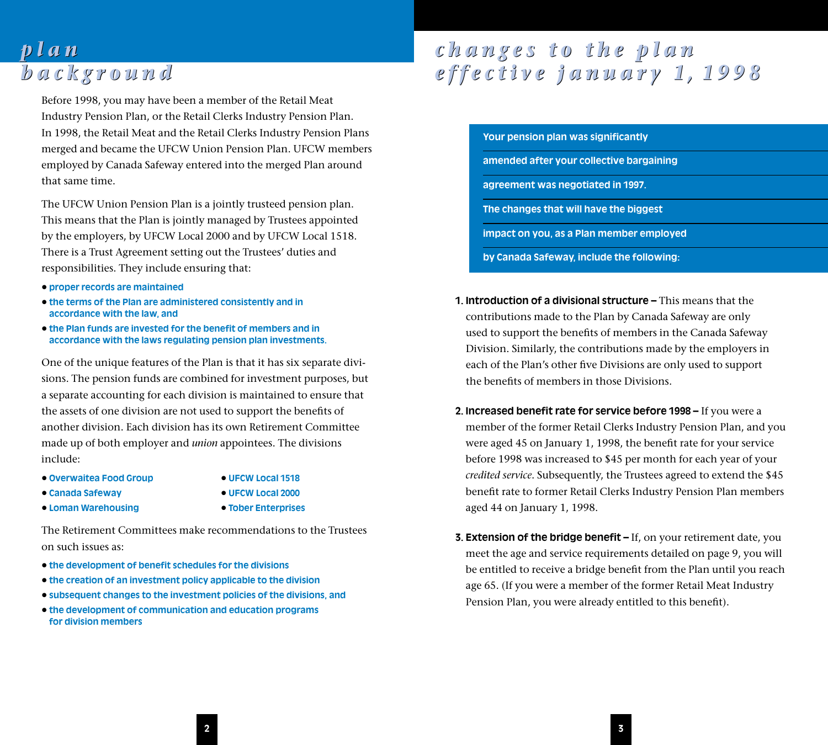## *plan plan background*

Before 1998, you may have been a member of the Retail Meat Industry Pension Plan, or the Retail Clerks Industry Pension Plan. In 1998, the Retail Meat and the Retail Clerks Industry Pension Plans merged and became the UFCW Union Pension Plan. UFCW members employed by Canada Safeway entered into the merged Plan around that same time.

The UFCW Union Pension Plan is a jointly trusteed pension plan. This means that the Plan is jointly managed by Trustees appointed by the employers, by UFCW Local 2000 and by UFCW Local 1518. There is a Trust Agreement setting out the Trustees' duties and responsibilities. They include ensuring that:

- **• proper records are maintained**
- **• the terms of the Plan are administered consistently and in accordance with the law, and**
- **• the Plan funds are invested for the benefit of members and in accordance with the laws regulating pension plan investments.**

One of the unique features of the Plan is that it has six separate divisions. The pension funds are combined for investment purposes, but a separate accounting for each division is maintained to ensure that the assets of one division are not used to support the benefits of another division. Each division has its own Retirement Committee made up of both employer and *union* appointees. The divisions include:

- **• Overwaitea Food Group • UFCW Local 1518**
	-
- **• Canada Safeway • UFCW Local 2000**
- 
- **• Loman Warehousing • Tober Enterprises**
- 

The Retirement Committees make recommendations to the Trustees on such issues as:

- **• the development of benefit schedules for the divisions**
- **• the creation of an investment policy applicable to the division**
- **• subsequent changes to the investment policies of the divisions, and**
- **• the development of communication and education programs for division members**

# *changes to the plan changes to the plan effective january 1, 1998*

**Your pension plan was significantly amended after your collective bargaining agreement was negotiated in 1997. The changes that will have the biggest impact on you, as a Plan member employed by Canada Safeway, include the following:**

- **1. Introduction of a divisional structure –** This means that the contributions made to the Plan by Canada Safeway are only used to support the benefits of members in the Canada Safeway Division. Similarly, the contributions made by the employers in each of the Plan's other five Divisions are only used to support the benefits of members in those Divisions.
- **2. Increased benefit rate for service before 1998 –** If you were a member of the former Retail Clerks Industry Pension Plan, and you were aged 45 on January 1, 1998, the benefit rate for your service before 1998 was increased to \$45 per month for each year of your *credited service*. Subsequently, the Trustees agreed to extend the \$45 benefit rate to former Retail Clerks Industry Pension Plan members aged 44 on January 1, 1998.
- **3. Extension of the bridge benefit** If, on your retirement date, you meet the age and service requirements detailed on page 9, you will be entitled to receive a bridge benefit from the Plan until you reach age 65. (If you were a member of the former Retail Meat Industry Pension Plan, you were already entitled to this benefit).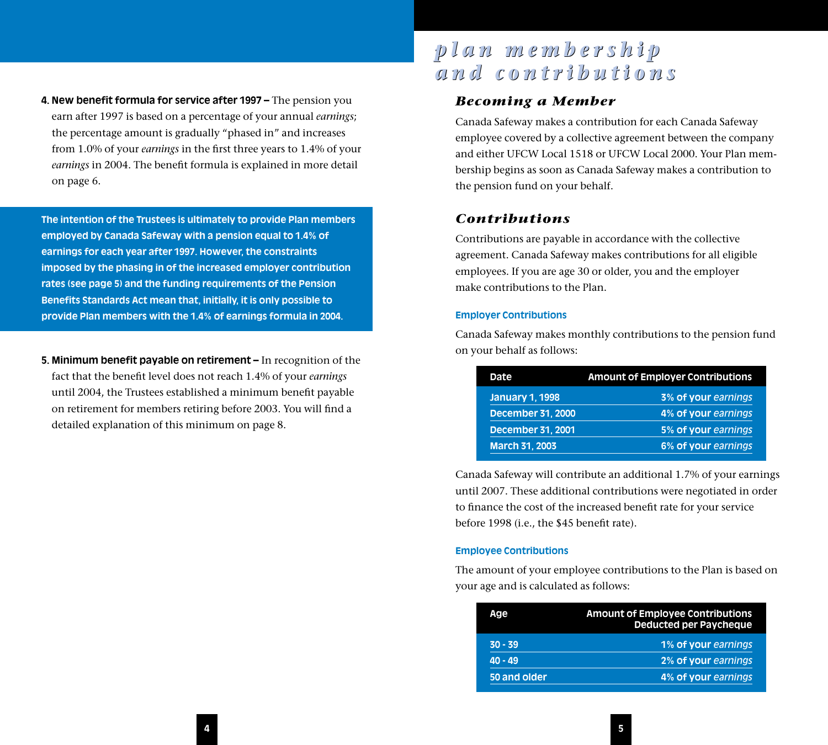**4. New benefit formula for service after 1997 –** The pension you earn after 1997 is based on a percentage of your annual *earnings*; the percentage amount is gradually "phased in" and increases from 1.0% of your *earnings* in the first three years to 1.4% of your *earnings* in 2004. The benefit formula is explained in more detail on page 6.

**The intention of the Trustees is ultimately to provide Plan members employed by Canada Safeway with a pension equal to 1.4% of earnings for each year after 1997. However, the constraints imposed by the phasing in of the increased employer contribution rates (see page 5) and the funding requirements of the Pension Benefits Standards Act mean that, initially, it is only possible to provide Plan members with the 1.4% of earnings formula in 2004.**

**5. Minimum benefit payable on retirement –** In recognition of the fact that the benefit level does not reach 1.4% of your *earnings* until 2004, the Trustees established a minimum benefit payable on retirement for members retiring before 2003. You will find a detailed explanation of this minimum on page 8.

## *plan membership plan membership and contributions and contributions*

### *Becoming a Member*

Canada Safeway makes a contribution for each Canada Safeway employee covered by a collective agreement between the company and either UFCW Local 1518 or UFCW Local 2000. Your Plan membership begins as soon as Canada Safeway makes a contribution to the pension fund on your behalf.

### *Contributions*

Contributions are payable in accordance with the collective agreement. Canada Safeway makes contributions for all eligible employees. If you are age 30 or older, you and the employer make contributions to the Plan.

### **Employer Contributions**

Canada Safeway makes monthly contributions to the pension fund on your behalf as follows:

| Date                     | <b>Amount of Employer Contributions</b> |  |  |
|--------------------------|-----------------------------------------|--|--|
| <b>January 1, 1998</b>   | 3% of your earnings                     |  |  |
| <b>December 31, 2000</b> | 4% of your earnings                     |  |  |
| <b>December 31, 2001</b> | 5% of your earnings                     |  |  |
| March 31, 2003           | 6% of your earnings                     |  |  |

Canada Safeway will contribute an additional 1.7% of your earnings until 2007. These additional contributions were negotiated in order to finance the cost of the increased benefit rate for your service before 1998 (i.e., the \$45 benefit rate).

### **Employee Contributions**

The amount of your employee contributions to the Plan is based on your age and is calculated as follows:

| Age          | <b>Amount of Employee Contributions</b><br><b>Deducted per Paycheque</b> |
|--------------|--------------------------------------------------------------------------|
| $30 - 39$    | 1% of your earnings                                                      |
| $40 - 49$    | 2% of your earnings                                                      |
| 50 and older | 4% of your earnings                                                      |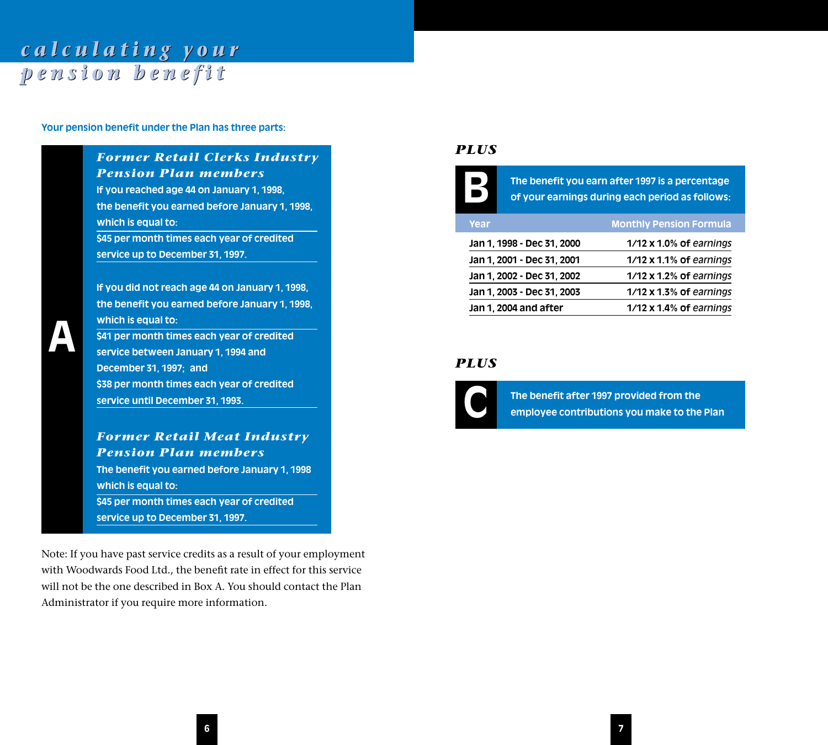## *calculating your calculating your pension benefit pension benefit*

**A**

**Your pension benefit under the Plan has three parts:**

### *Former Retail Clerks Industry Pension Plan members*

**If you reached age 44 on January 1, 1998, the benefit you earned before January 1, 1998, which is equal to:**

**\$45 per month times each year of credited service up to December 31, 1997.**

**If you did not reach age 44 on January 1, 1998, the benefit you earned before January 1, 1998, which is equal to:**

**\$41 per month times each year of credited service between January 1, 1994 and December 31, 1997; and \$38 per month times each year of credited service until December 31, 1993.**

## *Former Retail Meat Industry Pension Plan members*

**The benefit you earned before January 1, 1998 which is equal to: \$45 per month times each year of credited** 

**service up to December 31, 1997.**

Note: If you have past service credits as a result of your employment with Woodwards Food Ltd., the benefit rate in effect for this service will not be the one described in Box A. You should contact the Plan Administrator if you require more information.

### *PLUS*

| The benefit you earn after 1997 is a percentage<br>of your earnings during each period as follows: |                                 |  |  |  |
|----------------------------------------------------------------------------------------------------|---------------------------------|--|--|--|
| Year                                                                                               | <b>Monthly Pension Formula</b>  |  |  |  |
| Jan 1, 1998 - Dec 31, 2000                                                                         | $1/12 \times 1.0\%$ of earnings |  |  |  |
| Jan 1, 2001 - Dec 31, 2001                                                                         | $1/12 \times 1.1\%$ of earnings |  |  |  |
| Jan 1, 2002 - Dec 31, 2002                                                                         | $1/12 \times 1.2\%$ of earnings |  |  |  |
| Jan 1, 2003 - Dec 31, 2003                                                                         | $1/12 \times 1.3\%$ of earnings |  |  |  |
| Jan 1, 2004 and after                                                                              | 1/12 x 1.4% of earnings         |  |  |  |

### *PLUS*



**The benefit after 1997 provided from the C employee contributions you make to the Plan**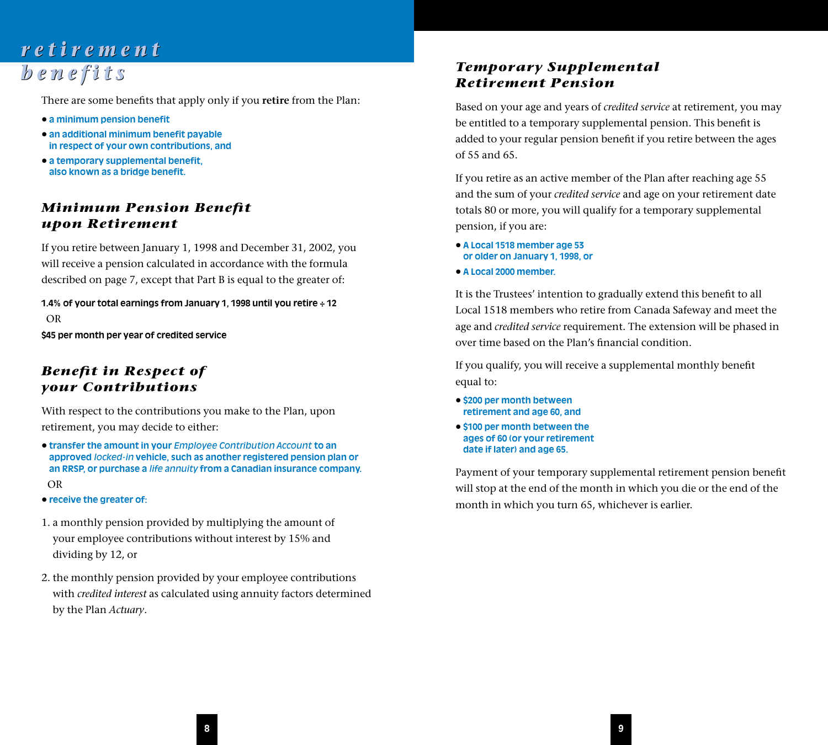## *retirement retirement benefits benefits*

There are some benefits that apply only if you **retire** from the Plan:

- **• a minimum pension benefit**
- **• an additional minimum benefit payable in respect of your own contributions, and**
- **• a temporary supplemental benefit, also known as a bridge benefit.**

## *Minimum Pension Benefit upon Retirement*

If you retire between January 1, 1998 and December 31, 2002, you will receive a pension calculated in accordance with the formula described on page 7, except that Part B is equal to the greater of:

**1.4% of your total earnings from January 1, 1998 until you retire ÷ 12** OR

**\$45 per month per year of credited service**

### *Benefit in Respect of your Contributions*

With respect to the contributions you make to the Plan, upon retirement, you may decide to either:

- **• transfer the amount in your** *Employee Contribution Account* **to an approved** *locked-in* **vehicle, such as another registered pension plan or an RRSP, or purchase a** *life annuity* **from a Canadian insurance company.** OR
- **• receive the greater of:**
- 1. a monthly pension provided by multiplying the amount of your employee contributions without interest by 15% and dividing by 12, or
- 2. the monthly pension provided by your employee contributions with *credited interest* as calculated using annuity factors determined by the Plan *Actuary*.

## *Temporary Supplemental Retirement Pension*

Based on your age and years of *credited service* at retirement, you may be entitled to a temporary supplemental pension. This benefit is added to your regular pension benefit if you retire between the ages of 55 and 65.

If you retire as an active member of the Plan after reaching age 55 and the sum of your *credited service* and age on your retirement date totals 80 or more, you will qualify for a temporary supplemental pension, if you are:

- **• A Local 1518 member age 53 or older on January 1, 1998, or**
- **• A Local 2000 member.**

It is the Trustees' intention to gradually extend this benefit to all Local 1518 members who retire from Canada Safeway and meet the age and *credited service* requirement. The extension will be phased in over time based on the Plan's financial condition.

If you qualify, you will receive a supplemental monthly benefit equal to:

- **• \$200 per month between retirement and age 60, and**
- **• \$100 per month between the ages of 60 (or your retirement date if later) and age 65.**

Payment of your temporary supplemental retirement pension benefit will stop at the end of the month in which you die or the end of the month in which you turn 65, whichever is earlier.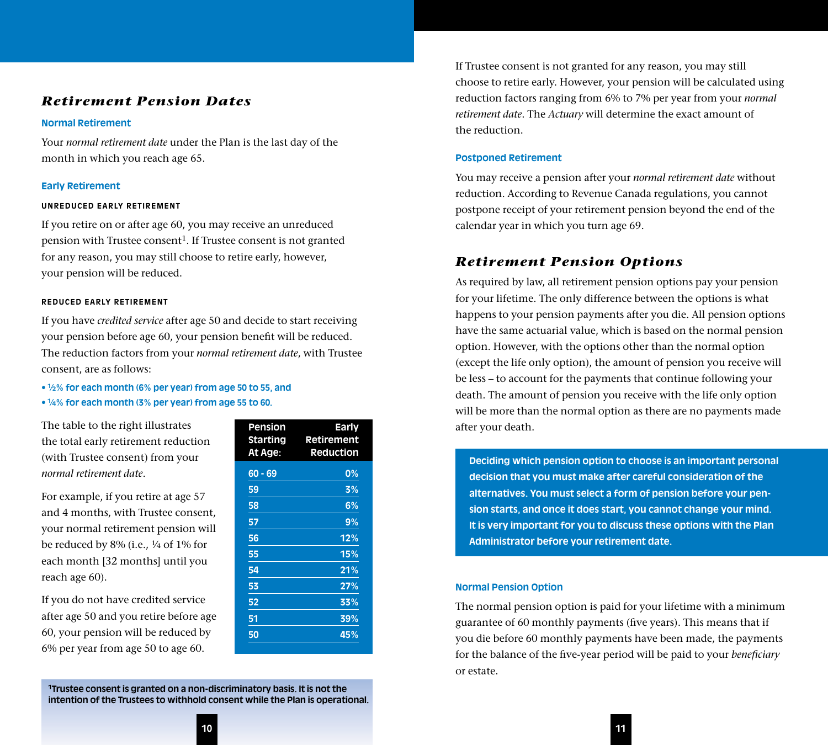### *Retirement Pension Dates*

### **Normal Retirement**

Your *normal retirement date* under the Plan is the last day of the month in which you reach age 65.

### **Early Retirement**

#### **UNREDUCED EARLY RETIREMENT**

If you retire on or after age 60, you may receive an unreduced pension with Trustee consent<sup>1</sup>. If Trustee consent is not granted for any reason, you may still choose to retire early, however, your pension will be reduced.

#### **REDUCED EARLY RETIREMENT**

If you have *credited service* after age 50 and decide to start receiving your pension before age 60, your pension benefit will be reduced. The reduction factors from your *normal retirement date*, with Trustee consent, are as follows:

- **1⁄2% for each month (6% per year) from age 50 to 55, and**
- **1⁄4% for each month (3% per year) from age 55 to 60.**

The table to the right illustrates the total early retirement reduction (with Trustee consent) from your *normal retirement date*.

For example, if you retire at age 57 and 4 months, with Trustee consent, your normal retirement pension will be reduced by  $8\%$  (i.e.,  $\frac{1}{4}$  of  $1\%$  for each month [32 months] until you reach age 60).

If you do not have credited service after age 50 and you retire before age 60, your pension will be reduced by 6% per year from age 50 to age 60.

| Pension<br><b>Starting</b><br>At Age: | <b>Early</b><br><b>Retirement</b><br><b>Reduction</b> |
|---------------------------------------|-------------------------------------------------------|
| $60 - 69$                             | 0%                                                    |
| 59                                    | 3%                                                    |
| 58                                    | 6%                                                    |
| 57                                    | 9%                                                    |
| 56                                    | 12%                                                   |
| 55                                    | 15%                                                   |
| 54                                    | 21%                                                   |
| 53                                    | 27%                                                   |
| 52                                    | 33%                                                   |
| 51                                    | 39%                                                   |
| 50                                    | 45%                                                   |

**1Trustee consent is granted on a non-discriminatory basis. It is not the intention of the Trustees to withhold consent while the Plan is operational.** If Trustee consent is not granted for any reason, you may still choose to retire early. However, your pension will be calculated using reduction factors ranging from 6% to 7% per year from your *normal retirement date*. The *Actuary* will determine the exact amount of the reduction.

### **Postponed Retirement**

You may receive a pension after your *normal retirement date* without reduction. According to Revenue Canada regulations, you cannot postpone receipt of your retirement pension beyond the end of the calendar year in which you turn age 69.

### *Retirement Pension Options*

As required by law, all retirement pension options pay your pension for your lifetime. The only difference between the options is what happens to your pension payments after you die. All pension options have the same actuarial value, which is based on the normal pension option. However, with the options other than the normal option (except the life only option), the amount of pension you receive will be less – to account for the payments that continue following your death. The amount of pension you receive with the life only option will be more than the normal option as there are no payments made after your death.

**Deciding which pension option to choose is an important personal decision that you must make after careful consideration of the alternatives. You must select a form of pension before your pension starts, and once it does start, you cannot change your mind. It is very important for you to discuss these options with the Plan Administrator before your retirement date.**

### **Normal Pension Option**

The normal pension option is paid for your lifetime with a minimum guarantee of 60 monthly payments (five years). This means that if you die before 60 monthly payments have been made, the payments for the balance of the five-year period will be paid to your *beneficiary* or estate.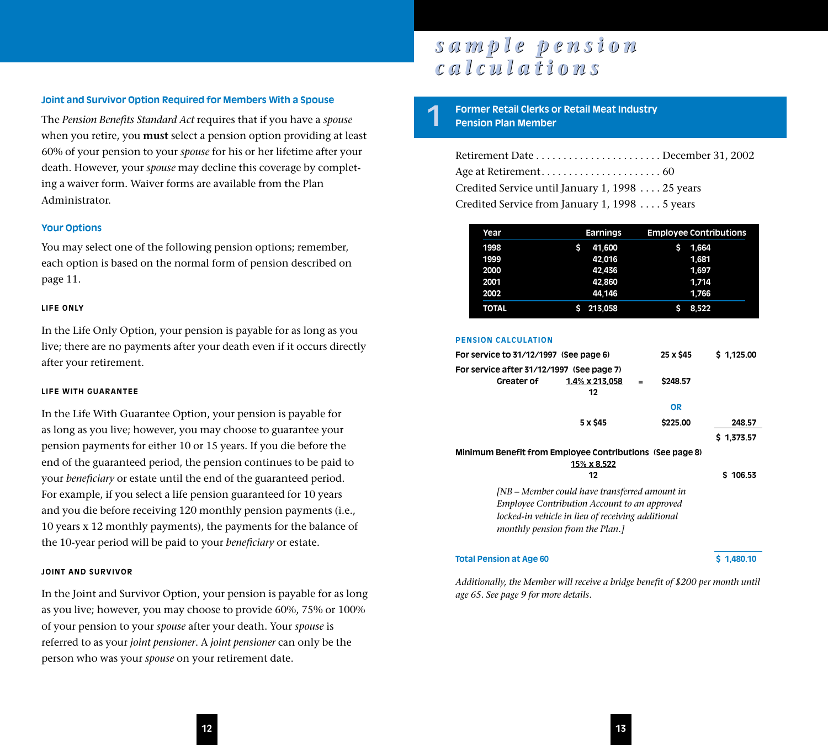### **Joint and Survivor Option Required for Members With a Spouse**

The *Pension Benefits Standard Act* requires that if you have a *spouse* when you retire, you **must** select a pension option providing at least 60% of your pension to your *spouse* for his or her lifetime after your death. However, your *spouse* may decline this coverage by completing a waiver form. Waiver forms are available from the Plan Administrator.

### **Your Options**

You may select one of the following pension options; remember, each option is based on the normal form of pension described on page 11.

### **LIFE ONLY**

In the Life Only Option, your pension is payable for as long as you live; there are no payments after your death even if it occurs directly after your retirement.

### **LIFE WITH GUARANTEE**

In the Life With Guarantee Option, your pension is payable for as long as you live; however, you may choose to guarantee your pension payments for either 10 or 15 years. If you die before the end of the guaranteed period, the pension continues to be paid to your *beneficiary* or estate until the end of the guaranteed period. For example, if you select a life pension guaranteed for 10 years and you die before receiving 120 monthly pension payments (i.e., 10 years x 12 monthly payments), the payments for the balance of the 10-year period will be paid to your *beneficiary* or estate.

#### **JOINT AND SURVIVOR**

In the Joint and Survivor Option, your pension is payable for as long as you live; however, you may choose to provide 60%, 75% or 100% of your pension to your *spouse* after your death. Your *spouse* is referred to as your *joint pensioner*. A *joint pensioner* can only be the person who was your *spouse* on your retirement date.

## *sample pension calculations calculations*

# **Former Retail Clerks or Retail Meat Industry 1 Pension Plan Member**

| Credited Service until January 1, 1998  25 years |  |
|--------------------------------------------------|--|
| Credited Service from January 1, 1998  5 years   |  |

| Year         | <b>Earnings</b> | <b>Employee Contributions</b> |
|--------------|-----------------|-------------------------------|
| 1998         | S<br>41,600     | 1,664<br>S                    |
| 1999         | 42,016          | 1,681                         |
| 2000         | 42,436          | 1,697                         |
| 2001         | 42,860          | 1,714                         |
| 2002         | 44,146          | 1,766                         |
| <b>TOTAL</b> | 213,058<br>Ś    | 8,522                         |

#### **PENSION CALCULATION**

| For service to 31/12/1997 (See page 6)                   |                                                   |     | 25 x \$45 | \$1,125.00     |
|----------------------------------------------------------|---------------------------------------------------|-----|-----------|----------------|
| For service after 31/12/1997 (See page 7)                |                                                   |     |           |                |
| Greater of                                               | 1.4% x 213,058                                    | $=$ | S248.57   |                |
|                                                          | 12                                                |     |           |                |
|                                                          |                                                   |     | <b>OR</b> |                |
|                                                          | 5 x \$45                                          |     | \$225.00  | 248.57         |
|                                                          |                                                   |     |           | 1,373.57<br>S. |
| Minimum Benefit from Employee Contributions (See page 8) |                                                   |     |           |                |
|                                                          | 15% x 8,522                                       |     |           |                |
|                                                          | 12                                                |     |           | \$106.53       |
|                                                          | [NB – Member could have transferred amount in     |     |           |                |
|                                                          | Employee Contribution Account to an approved      |     |           |                |
|                                                          | locked-in vehicle in lieu of receiving additional |     |           |                |
|                                                          | monthly pension from the Plan.]                   |     |           |                |
|                                                          |                                                   |     |           |                |
| <b>Total Pension at Age 60</b>                           |                                                   |     |           | 1.480.10<br>s  |

*Additionally, the Member will receive a bridge benefit of \$200 per month until age 65. See page 9 for more details.*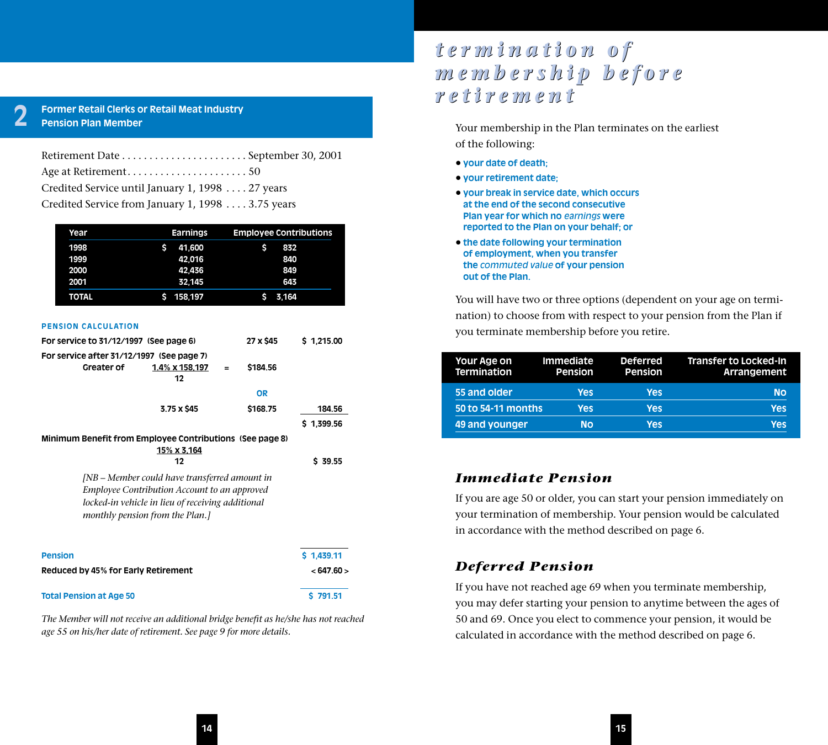#### **Former Retail Clerks or Retail Meat Industry Pension Plan Member 2**

| Credited Service until January 1, 1998  27 years  |  |
|---------------------------------------------------|--|
| Credited Service from January 1, 1998  3.75 years |  |

| Year  | Earnings    | <b>Employee Contributions</b> |
|-------|-------------|-------------------------------|
| 1998  | S<br>41,600 | S<br>832                      |
| 1999  | 42,016      | 840                           |
| 2000  | 42,436      | 849                           |
| 2001  | 32,145      | 643                           |
| TOTAL | 158,197     | 3,164<br>S                    |

#### **PENSION CALCULATION**

| For service to 31/12/1997 (See page 6)                   |                                                   |     | 27 x \$45 | \$1,215.00 |
|----------------------------------------------------------|---------------------------------------------------|-----|-----------|------------|
| For service after 31/12/1997 (See page 7)                |                                                   |     |           |            |
| Greater of                                               | 1.4% x 158.197                                    | $=$ | \$184.56  |            |
|                                                          | 12                                                |     |           |            |
|                                                          |                                                   |     | <b>OR</b> |            |
|                                                          | 3.75 x \$45                                       |     | \$168.75  | 184.56     |
|                                                          |                                                   |     |           | \$1,399.56 |
| Minimum Benefit from Employee Contributions (See page 8) |                                                   |     |           |            |
|                                                          | 15% x 3,164                                       |     |           |            |
|                                                          | 12                                                |     |           | \$39.55    |
|                                                          | [NB – Member could have transferred amount in     |     |           |            |
|                                                          | Employee Contribution Account to an approved      |     |           |            |
|                                                          | locked-in vehicle in lieu of receiving additional |     |           |            |
|                                                          | monthly pension from the Plan.]                   |     |           |            |
|                                                          |                                                   |     |           |            |
| <b>Pension</b>                                           |                                                   |     |           | \$1.439.11 |
|                                                          |                                                   |     |           |            |
| Reduced by 45% for Early Retirement                      |                                                   |     |           | < 647.60   |

#### **Total Pension at Age 50 \$ 791.51**

*The Member will not receive an additional bridge benefit as he/she has not reached age 55 on his/her date of retirement. See page 9 for more details.*

## *termination of termination of membership before membership before retirement retirement*

Your membership in the Plan terminates on the earliest of the following:

- **• your date of death;**
- **• your retirement date;**
- **• your break in service date, which occurs at the end of the second consecutive Plan year for which no** *earnings* **were reported to the Plan on your behalf; or**
- **• the date following your termination of employment, when you transfer the** *commuted value* **of your pension out of the Plan.**

You will have two or three options (dependent on your age on termination) to choose from with respect to your pension from the Plan if you terminate membership before you retire.

| <b>Your Age on</b><br><b>Termination</b> | Immediate<br><b>Pension</b> | <b>Deferred</b><br><b>Pension</b> | <b>Transfer to Locked-In</b><br>Arrangement |
|------------------------------------------|-----------------------------|-----------------------------------|---------------------------------------------|
| 55 and older                             | Yes:                        | Yes                               | <b>No</b>                                   |
| 50 to 54-11 months                       | <b>Yes</b>                  | <b>Yes</b>                        | Yes                                         |
| 49 and younger                           | <b>No</b>                   | Yes                               | Yes                                         |

### *Immediate Pension*

If you are age 50 or older, you can start your pension immediately on your termination of membership. Your pension would be calculated in accordance with the method described on page 6.

### *Deferred Pension*

If you have not reached age 69 when you terminate membership, you may defer starting your pension to anytime between the ages of 50 and 69. Once you elect to commence your pension, it would be calculated in accordance with the method described on page 6.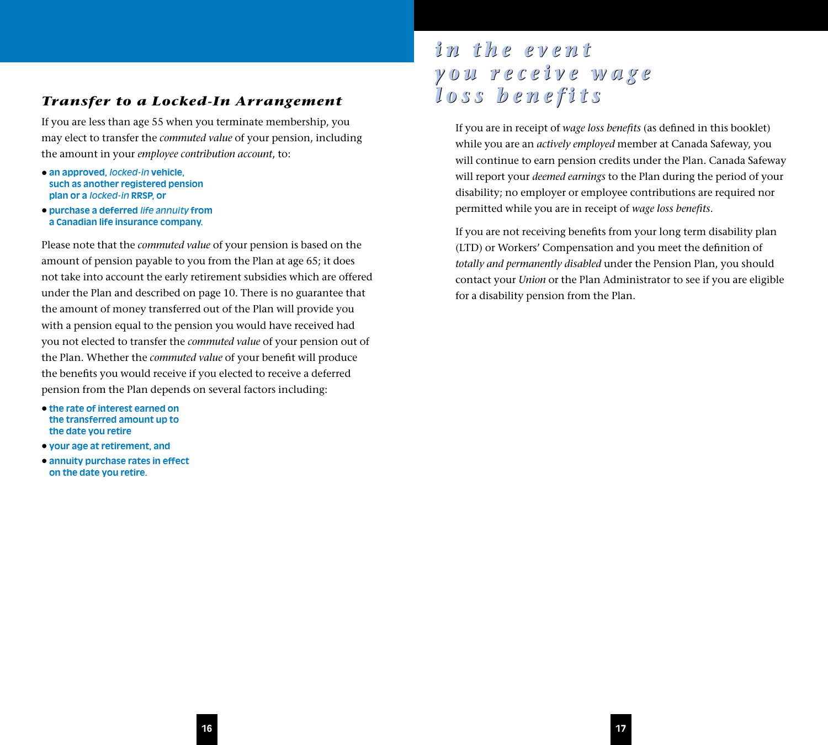### *Transfer to a Locked-In Arrangement*

If you are less than age 55 when you terminate membership, you may elect to transfer the *commuted value* of your pension, including the amount in your *employee contribution account*, to:

- **• an approved,** *locked-in* **vehicle, such as another registered pension plan or a** *locked-in* **RRSP, or**
- **• purchase a deferred** *life annuity* **from a Canadian life insurance company.**

Please note that the *commuted value* of your pension is based on the amount of pension payable to you from the Plan at age 65; it does not take into account the early retirement subsidies which are offered under the Plan and described on page 10. There is no guarantee that the amount of money transferred out of the Plan will provide you with a pension equal to the pension you would have received had you not elected to transfer the *commuted value* of your pension out of the Plan. Whether the *commuted value* of your benefit will produce the benefits you would receive if you elected to receive a deferred pension from the Plan depends on several factors including:

- **• the rate of interest earned on the transferred amount up to the date you retire**
- **• your age at retirement, and**
- **• annuity purchase rates in effect on the date you retire.**

## *in the event in the event you receive wage you receive wage loss benefits loss benefits*

If you are in receipt of *wage loss benefits* (as defined in this booklet) while you are an *actively employed* member at Canada Safeway, you will continue to earn pension credits under the Plan. Canada Safeway will report your *deemed earnings* to the Plan during the period of your disability; no employer or employee contributions are required nor permitted while you are in receipt of *wage loss benefits*.

If you are not receiving benefits from your long term disability plan (LTD) or Workers' Compensation and you meet the definition of *totally and permanently disabled* under the Pension Plan, you should contact your *Union* or the Plan Administrator to see if you are eligible for a disability pension from the Plan.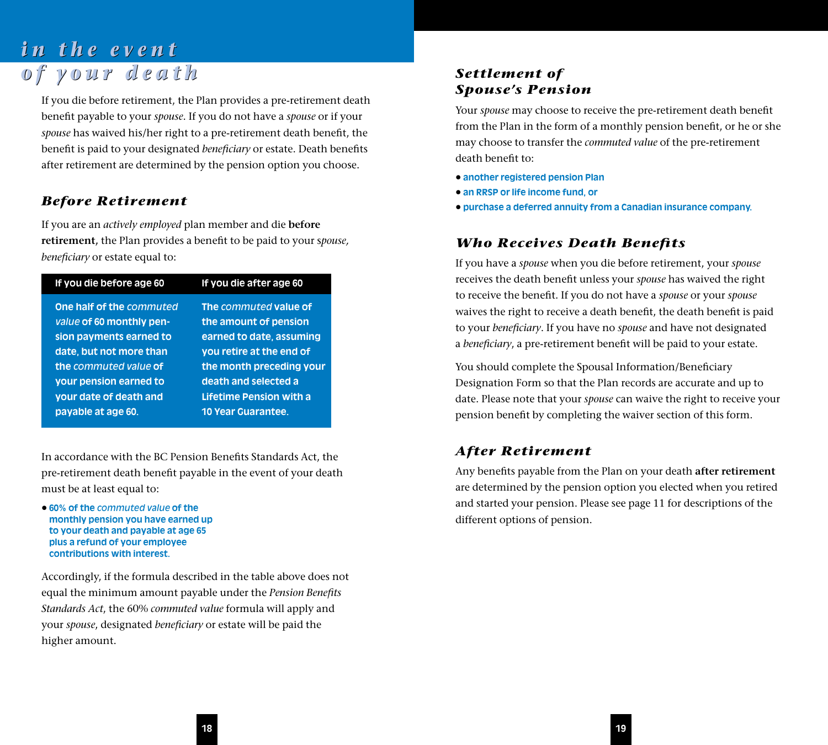## *in the event in the event of your death*

If you die before retirement, the Plan provides a pre-retirement death benefit payable to your *spouse*. If you do not have a *spouse* or if your *spouse* has waived his/her right to a pre-retirement death benefit, the benefit is paid to your designated *beneficiary* or estate. Death benefits after retirement are determined by the pension option you choose.

### *Before Retirement*

If you are an *actively employed* plan member and die **before retirement,** the Plan provides a benefit to be paid to your s*pouse, beneficiary* or estate equal to:

| If you die before age 60        | If you die after age 60  |
|---------------------------------|--------------------------|
| <b>One half of the commuted</b> | The commuted value of    |
| value of 60 monthly pen-        | the amount of pension    |
| sion payments earned to         | earned to date, assuming |
| date, but not more than         | you retire at the end of |
| the commuted value of           | the month preceding your |
| your pension earned to          | death and selected a     |
| your date of death and          | Lifetime Pension with a  |
| payable at age 60.              | 10 Year Guarantee.       |

In accordance with the BC Pension Benefits Standards Act, the pre-retirement death benefit payable in the event of your death must be at least equal to:

**• 60% of the** *commuted value* **of the monthly pension you have earned up to your death and payable at age 65 plus a refund of your employee contributions with interest.**

Accordingly, if the formula described in the table above does not equal the minimum amount payable under the *Pension Benefits Standards Act*, the 60% *commuted value* formula will apply and your *spouse*, designated *beneficiary* or estate will be paid the higher amount.

### *Settlement of Spouse's Pension*

Your *spouse* may choose to receive the pre-retirement death benefit from the Plan in the form of a monthly pension benefit, or he or she may choose to transfer the *commuted value* of the pre-retirement death benefit to:

- **• another registered pension Plan**
- **• an RRSP or life income fund, or**
- **• purchase a deferred annuity from a Canadian insurance company.**

### *Who Receives Death Benefits*

If you have a *spouse* when you die before retirement, your *spouse* receives the death benefit unless your *spouse* has waived the right to receive the benefit. If you do not have a *spouse* or your *spouse* waives the right to receive a death benefit, the death benefit is paid to your *beneficiary*. If you have no *spouse* and have not designated a *beneficiary*, a pre-retirement benefit will be paid to your estate.

You should complete the Spousal Information/Beneficiary Designation Form so that the Plan records are accurate and up to date. Please note that your *spouse* can waive the right to receive your pension benefit by completing the waiver section of this form.

## *After Retirement*

Any benefits payable from the Plan on your death **after retirement** are determined by the pension option you elected when you retired and started your pension. Please see page 11 for descriptions of the different options of pension.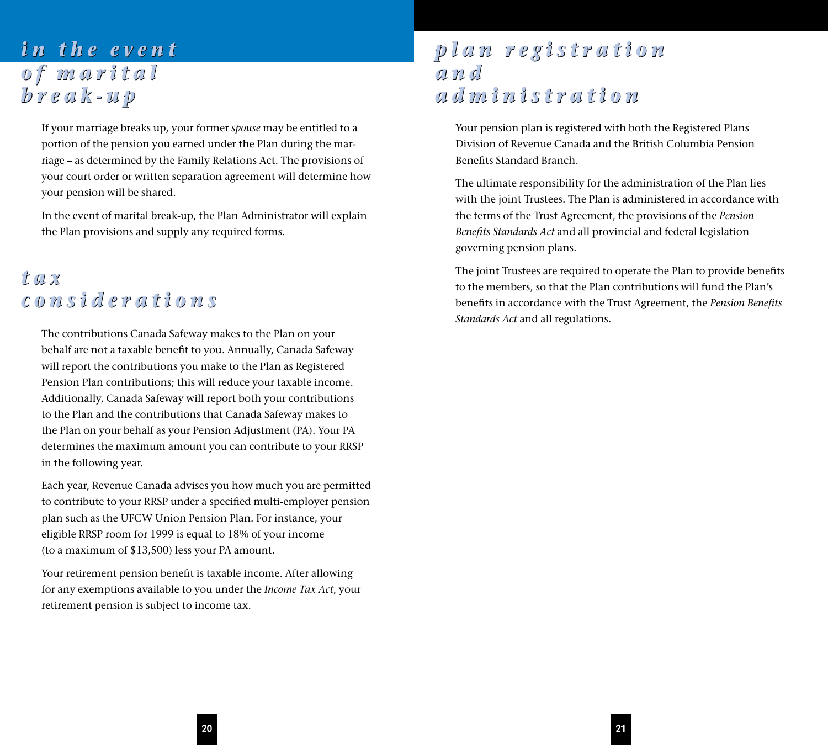## *in the event in the event of marital of marital break-up*

If your marriage breaks up, your former *spouse* may be entitled to a portion of the pension you earned under the Plan during the marriage – as determined by the Family Relations Act. The provisions of your court order or written separation agreement will determine how your pension will be shared.

In the event of marital break-up, the Plan Administrator will explain the Plan provisions and supply any required forms.

## *tax tax considerations considerations*

The contributions Canada Safeway makes to the Plan on your behalf are not a taxable benefit to you. Annually, Canada Safeway will report the contributions you make to the Plan as Registered Pension Plan contributions; this will reduce your taxable income. Additionally, Canada Safeway will report both your contributions to the Plan and the contributions that Canada Safeway makes to the Plan on your behalf as your Pension Adjustment (PA). Your PA determines the maximum amount you can contribute to your RRSP in the following year.

Each year, Revenue Canada advises you how much you are permitted to contribute to your RRSP under a specified multi-employer pension plan such as the UFCW Union Pension Plan. For instance, your eligible RRSP room for 1999 is equal to 18% of your income (to a maximum of \$13,500) less your PA amount.

Your retirement pension benefit is taxable income. After allowing for any exemptions available to you under the *Income Tax Act*, your retirement pension is subject to income tax.

## *plan registration plan registration and and administration*

Your pension plan is registered with both the Registered Plans Division of Revenue Canada and the British Columbia Pension Benefits Standard Branch.

The ultimate responsibility for the administration of the Plan lies with the joint Trustees. The Plan is administered in accordance with the terms of the Trust Agreement, the provisions of the *Pension Benefits Standards Act* and all provincial and federal legislation governing pension plans.

The joint Trustees are required to operate the Plan to provide benefits to the members, so that the Plan contributions will fund the Plan's benefits in accordance with the Trust Agreement, the *Pension Benefits Standards Act* and all regulations.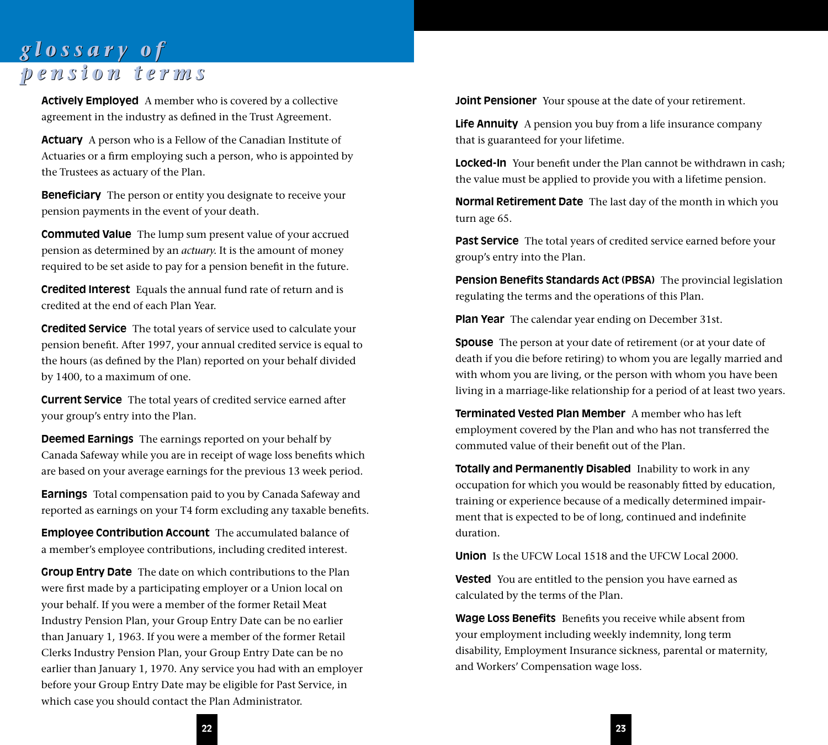## *glossary of glossary of pension terms pension terms*

**Actively Employed** A member who is covered by a collective agreement in the industry as defined in the Trust Agreement.

**Actuary** A person who is a Fellow of the Canadian Institute of Actuaries or a firm employing such a person, who is appointed by the Trustees as actuary of the Plan.

**Beneficiary** The person or entity you designate to receive your pension payments in the event of your death.

**Commuted Value** The lump sum present value of your accrued pension as determined by an *actuary*. It is the amount of money required to be set aside to pay for a pension benefit in the future.

**Credited Interest** Equals the annual fund rate of return and is credited at the end of each Plan Year.

**Credited Service** The total years of service used to calculate your pension benefit. After 1997, your annual credited service is equal to the hours (as defined by the Plan) reported on your behalf divided by 1400, to a maximum of one.

**Current Service** The total years of credited service earned after your group's entry into the Plan.

**Deemed Earnings** The earnings reported on your behalf by Canada Safeway while you are in receipt of wage loss benefits which are based on your average earnings for the previous 13 week period.

**Earnings** Total compensation paid to you by Canada Safeway and reported as earnings on your T4 form excluding any taxable benefits.

**Employee Contribution Account** The accumulated balance of a member's employee contributions, including credited interest.

**Group Entry Date** The date on which contributions to the Plan were first made by a participating employer or a Union local on your behalf. If you were a member of the former Retail Meat Industry Pension Plan, your Group Entry Date can be no earlier than January 1, 1963. If you were a member of the former Retail Clerks Industry Pension Plan, your Group Entry Date can be no earlier than January 1, 1970. Any service you had with an employer before your Group Entry Date may be eligible for Past Service, in which case you should contact the Plan Administrator.

**Joint Pensioner** Your spouse at the date of your retirement.

**Life Annuity** A pension you buy from a life insurance company that is guaranteed for your lifetime.

**Locked-In** Your benefit under the Plan cannot be withdrawn in cash; the value must be applied to provide you with a lifetime pension.

**Normal Retirement Date** The last day of the month in which you turn age 65.

**Past Service** The total years of credited service earned before your group's entry into the Plan.

**Pension Benefits Standards Act (PBSA)** The provincial legislation regulating the terms and the operations of this Plan.

**Plan Year** The calendar year ending on December 31st.

**Spouse** The person at your date of retirement (or at your date of death if you die before retiring) to whom you are legally married and with whom you are living, or the person with whom you have been living in a marriage-like relationship for a period of at least two years.

**Terminated Vested Plan Member** A member who has left employment covered by the Plan and who has not transferred the commuted value of their benefit out of the Plan.

**Totally and Permanently Disabled** Inability to work in any occupation for which you would be reasonably fitted by education, training or experience because of a medically determined impairment that is expected to be of long, continued and indefinite duration.

**Union** Is the UFCW Local 1518 and the UFCW Local 2000.

**Vested** You are entitled to the pension you have earned as calculated by the terms of the Plan.

**Wage Loss Benefits** Benefits you receive while absent from your employment including weekly indemnity, long term disability, Employment Insurance sickness, parental or maternity, and Workers' Compensation wage loss.